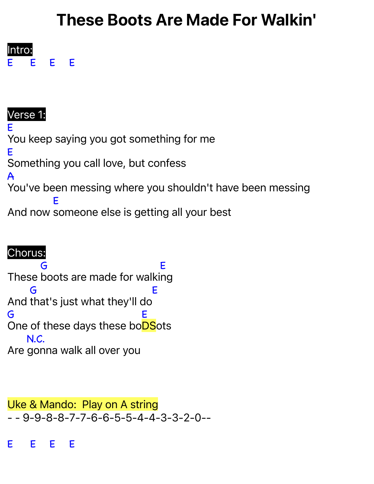# These Boots Are Made For Walkin'



#### Verse 1: E You keep saying you got something for me E Something you call love, but confess A You've been messing where you shouldn't have been messing And now someone else is getting all your best E

# Chorus:

These boots are made for walki ng G E And that's just what they'll do G E G One of these days these bo<mark>DS</mark>ots E Are gonna walk all over you N.C.

Uke & Mando: Play on A string  $-$  - 9-9-8-8-7-7-6-6-5-5-4-4-3-3-2-0--

E E E E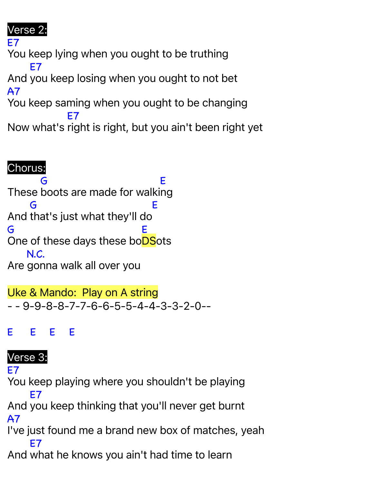## Verse 2:

E7 You keep lying when you ought to be truthing And you keep losing when you ought to not bet E7 A7 You keep saming when you ought to be changing Now what's right is right, but you ain't been right yet E7

### Chorus:

These boots are made for walki ng G E And that's just what they'll do G E G One of these days these bo<mark>DS</mark>ots E Are gonna walk all over you N.C.

Uke & Mando: Play on A string - - 9-9-8-8-7-7-6-6-5-5-4-4-3-3-2-0--

E E E E

#### Verse 3:

E7

You keep playing where you shouldn't be playing And you keep thinking that you'll never get burnt E7 A7

I've just found me a brand new box of matches, yeah E7

And what he knows you ain't had time to learn